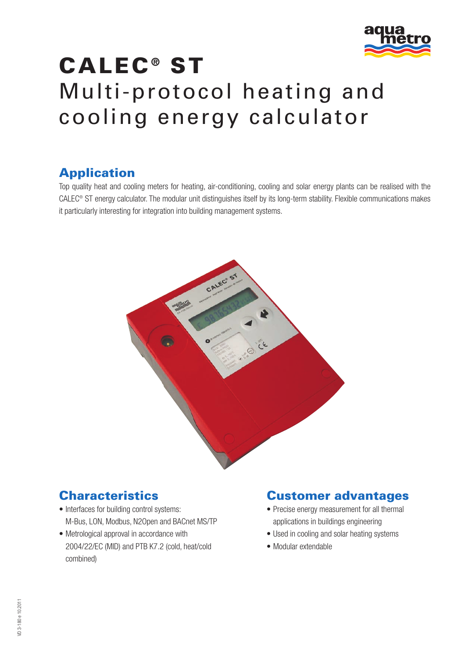

# **CALEC ® ST** Multi-protocol heating and cooling energy calculator

# **Application**

Top quality heat and cooling meters for heating, air-conditioning, cooling and solar energy plants can be realised with the CALEC® ST energy calculator. The modular unit distinguishes itself by its long-term stability. Flexible communications makes it particularly interesting for integration into building management systems.



### **Characteristics**

- Interfaces for building control systems: M-Bus, LON, Modbus, N2Open and BACnet MS/TP
- Metrological approval in accordance with 2004/22/EC (MID) and PTB K7.2 (cold, heat/cold combined)

### **Customer advantages**

- Precise energy measurement for all thermal applications in buildings engineering
- Used in cooling and solar heating systems
- Modular extendable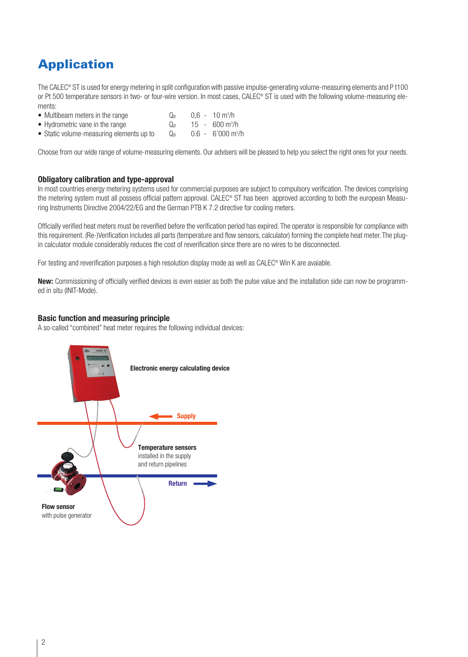# **Application**

The CALEC® ST is used for energy metering in split configuration with passive impulse-generating volume-measuring elements and P t100 or Pt 500 temperature sensors in two- or four-wire version. In most cases, CALEC® ST is used with the following volume-measuring elements:

- Multibeam meters in the range  $Q_p$  $0,6 - 10$  m<sup>3</sup>/h
- Hydrometric vane in the range  $Q_p$ 15 - 600 m<sup>3</sup>/h
- Static volume-measuring elements up to  $Q_p$  $0.6 - 6'000$  m<sup>3</sup>/h

Choose from our wide range of volume-measuring elements. Our advisers will be pleased to help you select the right ones for your needs.

#### **Obligatory calibration and type-approval**

In most countries energy metering systems used for commercial purposes are subject to compulsory verification. The devices comprising the metering system must all possess official pattern approval. CALEC® ST has been approved according to both the european Measuring Instruments Directive 2004/22/EG and the German PTB K 7.2 directive for cooling meters.

Officially verified heat meters must be reverified before the verification period has expired. The operator is responsible for compliance with this requirement. (Re-)Verification includes all parts (temperature and flow sensors, calculator) forming the complete heat meter. The plugin calculator module considerably reduces the cost of reverification since there are no wires to be disconnected.

For testing and reverification purposes a high resolution display mode as well as CALEC® Win K are avaiable.

**New:** Commissioning of officially verified devices is even easier as both the pulse value and the installation side can now be programmed in situ (INIT-Mode).

#### **Basic function and measuring principle**

A so-called "combined" heat meter requires the following individual devices:

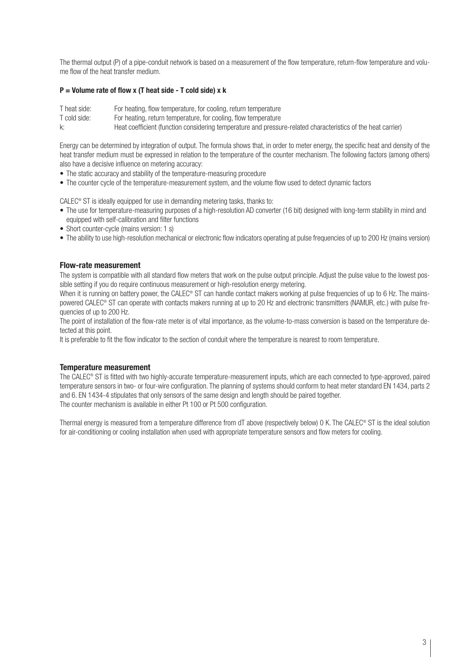The thermal output (P) of a pipe-conduit network is based on a measurement of the flow temperature, return-flow temperature and volume flow of the heat transfer medium.

#### **P = Volume rate of flow x (T heat side - T cold side) x k**

T heat side: For heating, flow temperature, for cooling, return temperature<br>T cold side: For heating, return temperature, for cooling, flow temperature

For heating, return temperature, for cooling, flow temperature

k: Heat coefficient (function considering temperature and pressure-related characteristics of the heat carrier)

Energy can be determined by integration of output. The formula shows that, in order to meter energy, the specific heat and density of the heat transfer medium must be expressed in relation to the temperature of the counter mechanism. The following factors (among others) also have a decisive influence on metering accuracy:

- The static accuracy and stability of the temperature-measuring procedure
- The counter cycle of the temperature-measurement system, and the volume flow used to detect dynamic factors

CALEC® ST is ideally equipped for use in demanding metering tasks, thanks to:

- The use for temperature-measuring purposes of a high-resolution AD converter (16 bit) designed with long-term stability in mind and equipped with self-calibration and filter functions
- Short counter-cycle (mains version: 1 s)
- The ability to use high-resolution mechanical or electronic flow indicators operating at pulse frequencies of up to 200 Hz (mains version)

#### **Flow-rate measurement**

The system is compatible with all standard flow meters that work on the pulse output principle. Adjust the pulse value to the lowest possible setting if you do require continuous measurement or high-resolution energy metering.

When it is running on battery power, the CALEC® ST can handle contact makers working at pulse frequencies of up to 6 Hz. The mainspowered CALEC® ST can operate with contacts makers running at up to 20 Hz and electronic transmitters (NAMUR, etc.) with pulse frequencies of up to 200 Hz.

The point of installation of the flow-rate meter is of vital importance, as the volume-to-mass conversion is based on the temperature detected at this point.

It is preferable to fit the flow indicator to the section of conduit where the temperature is nearest to room temperature.

#### **Temperature measurement**

The CALEC® ST is fitted with two highly-accurate temperature-measurement inputs, which are each connected to type-approved, paired temperature sensors in two- or four-wire configuration. The planning of systems should conform to heat meter standard EN 1434, parts 2 and 6. EN 1434-4 stipulates that only sensors of the same design and length should be paired together. The counter mechanism is available in either Pt 100 or Pt 500 configuration.

Thermal energy is measured from a temperature difference from dT above (respectively below) 0 K. The CALEC® ST is the ideal solution for air-conditioning or cooling installation when used with appropriate temperature sensors and flow meters for cooling.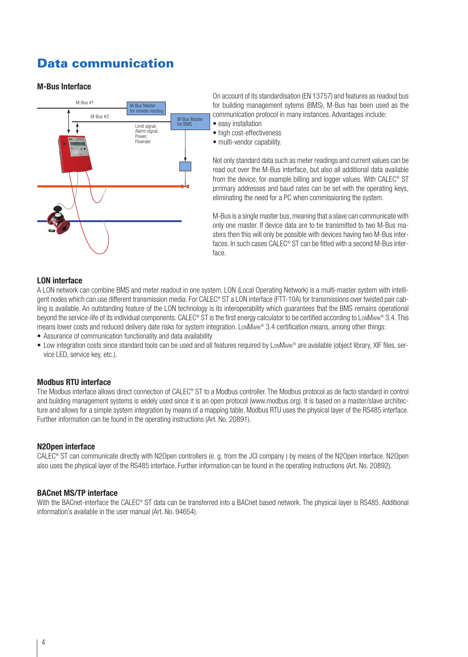### **Data communication**

#### **M-Bus Interface**



On account of its standardisation (EN 13757) and features as readout bus for building management sytems (BMS), M-Bus has been used as the communication protocol in many instances. Advantages include:

- easy installation
- high cost-effectiveness
- multi-vendor capability.

Not only standard data such as meter readings and current values can be read out over the M-Bus interface, but also all additional data available from the device, for example billing and logger values. With CALEC<sup>®</sup> ST prrimary addresses and baud rates can be set with the operating keys, eliminating the need for a PC when commissioning the system.

M-Bus is a single master bus, meaning that a slave can communicate with only one master. If device data are to be transmitted to two M-Bus masters then this will only be possible with devices having two M-Bus interfaces. In such cases CALEC<sup>®</sup> ST can be fitted with a second M-Bus interface.

#### **LON interface**

A LON network can combine BMS and meter readout in one system. LON (Local Operating Network) is a multi-master system with intelligent nodes which can use different transmission media. For CALEC® ST a LON interface (FTT-10A) for transmissions over twisted pair cabling is available. An outstanding feature of the LON technology is its interoperability which guarantees that the BMS remains operational beyond the service-life of its individual components. CALEC® ST is the first energy calculator to be certified according to LONMARK® 3.4. This means lower costs and reduced delivery date risks for system integration. LONMARK® 3.4 certification means, among other things:

- Assurance of communication functionality and data availability
- Low integration costs since standard tools can be used and all features required by LonMARK® are available (object library, XIF files, service LED, service key, etc.).

#### **Modbus RTU interface**

The Modbus interface allows direct connection of CALEC® ST to a Modbus controller. The Modbus protocol as de facto standard in control and building management systems is widely used since it is an open protocol (www.modbus.org). It is based on a master/slave architecture and allows for a simple system integration by means of a mapping table. Modbus RTU uses the physical layer of the RS485 interface. Further information can be found in the operating instructions (Art. No. 20891).

#### **N2Open interface**

CALEC® ST can communicate directly with N2Open controllers (e. g. from the JCI company ) by means of the N2Open interface. N2Open also uses the physical layer of the RS485 interface. Further information can be found in the operating instructions (Art. No. 20892).

#### **BACnet MS/TP interface**

With the BACnet-interface the CALEC® ST data can be transferred into a BACnet based network. The physical layer is RS485. Additional information's available in the user manual (Art. No. 94654).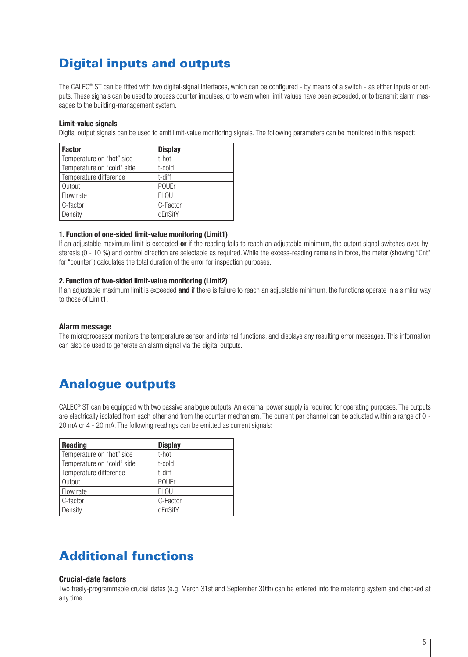# **Digital inputs and outputs**

The CALEC<sup>®</sup> ST can be fitted with two digital-signal interfaces, which can be configured - by means of a switch - as either inputs or outputs. These signals can be used to process counter impulses, or to warn when limit values have been exceeded, or to transmit alarm messages to the building-management system.

#### **Limit-value signals**

Digital output signals can be used to emit limit-value monitoring signals. The following parameters can be monitored in this respect:

| <b>Factor</b>              | <b>Display</b> |
|----------------------------|----------------|
| Temperature on "hot" side  | t-hot          |
| Temperature on "cold" side | t-cold         |
| Temperature difference     | t-diff         |
| Output                     | <b>POUEr</b>   |
| Flow rate                  | <b>FLOU</b>    |
| C-factor                   | C-Factor       |
| Density                    | dFnSitY        |

#### **1. Function of one-sided limit-value monitoring (Limit1)**

If an adjustable maximum limit is exceeded **or** if the reading fails to reach an adjustable minimum, the output signal switches over, hysteresis (0 - 10 %) and control direction are selectable as required. While the excess-reading remains in force, the meter (showing "Cnt" for "counter") calculates the total duration of the error for inspection purposes.

#### **2. Function of two-sided limit-value monitoring (Limit2)**

If an adjustable maximum limit is exceeded **and** if there is failure to reach an adjustable minimum, the functions operate in a similar way to those of Limit1.

#### **Alarm message**

The microprocessor monitors the temperature sensor and internal functions, and displays any resulting error messages. This information can also be used to generate an alarm signal via the digital outputs.

### **Analogue outputs**

CALEC® ST can be equipped with two passive analogue outputs. An external power supply is required for operating purposes. The outputs are electrically isolated from each other and from the counter mechanism. The current per channel can be adjusted within a range of 0 - 20 mA or 4 - 20 mA. The following readings can be emitted as current signals:

| <b>Reading</b>             | <b>Display</b> |
|----------------------------|----------------|
| Temperature on "hot" side  | t-hot          |
| Temperature on "cold" side | t-cold         |
| Temperature difference     | t-diff         |
| Output                     | <b>POUEr</b>   |
| Flow rate                  | <b>FLOU</b>    |
| C-factor                   | C-Factor       |
| Density                    | dFnSitY        |

### **Additional functions**

#### **Crucial-date factors**

Two freely-programmable crucial dates (e.g. March 31st and September 30th) can be entered into the metering system and checked at any time.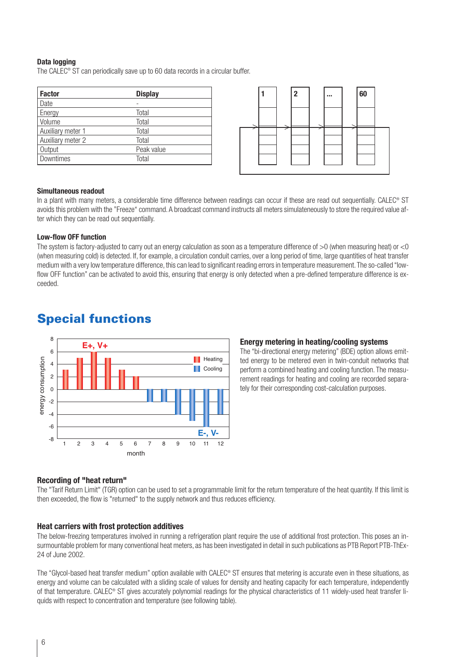#### **Data logging**

The CALEC® ST can periodically save up to 60 data records in a circular buffer.

| <b>Factor</b>     | <b>Display</b> |
|-------------------|----------------|
| Date              |                |
| Energy            | Total          |
| Volume            | Total          |
| Auxiliary meter 1 | Total          |
| Auxiliary meter 2 | Total          |
| Output            | Peak value     |
| Downtimes         | Total          |



#### **Simultaneous readout**

In a plant with many meters, a considerable time difference between readings can occur if these are read out sequentially. CALEC® ST avoids this problem with the "Freeze" command. A broadcast command instructs all meters simulateneously to store the required value after which they can be read out sequentially.

#### **Low-flow OFF function**

The system is factory-adjusted to carry out an energy calculation as soon as a temperature difference of  $>0$  (when measuring heat) or <0 (when measuring cold) is detected. If, for example, a circulation conduit carries, over a long period of time, large quantities of heat transfer medium with a very low temperature difference, this can lead to significant reading errors in temperature measurement. The so-called "lowflow OFF function" can be activated to avoid this, ensuring that energy is only detected when a pre-defined temperature difference is exceeded.



### **Special functions**

#### **Energy metering in heating/cooling systems**

The "bi-directional energy metering" (BDE) option allows emitted energy to be metered even in twin-conduit networks that perform a combined heating and cooling function. The measurement readings for heating and cooling are recorded separately for their corresponding cost-calculation purposes.

#### **Recording of "heat return"**

The "Tarif Return Limit" (TGR) option can be used to set a programmable limit for the return temperature of the heat quantity. If this limit is then exceeded, the flow is "returned" to the supply network and thus reduces efficiency.

#### **Heat carriers with frost protection additives**

The below-freezing temperatures involved in running a refrigeration plant require the use of additional frost protection. This poses an insurmountable problem for many conventional heat meters, as has been investigated in detail in such publications as PTB Report PTB-ThEx-24 of June 2002.

The "Glycol-based heat transfer medium" option available with CALEC® ST ensures that metering is accurate even in these situations, as energy and volume can be calculated with a sliding scale of values for density and heating capacity for each temperature, independently of that temperature. CALEC® ST gives accurately polynomial readings for the physical characteristics of 11 widely-used heat transfer liquids with respect to concentration and temperature (see following table).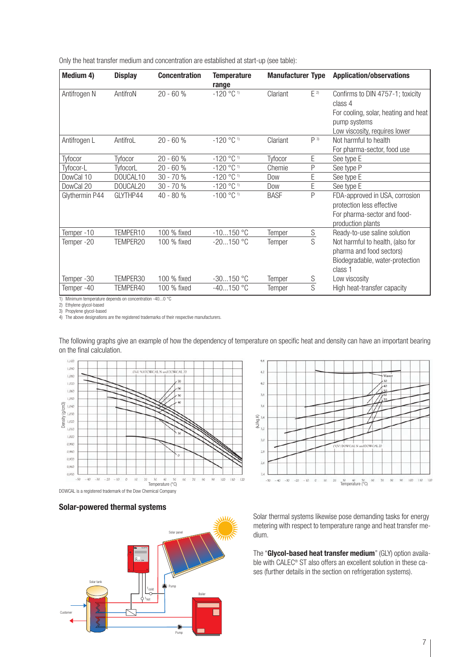Only the heat transfer medium and concentration are established at start-up (see table):

| Medium 4)                                                            | <b>Display</b>       | <b>Concentration</b> | <b>Temperature</b><br>range | <b>Manufacturer Type</b> |                         | <b>Application/observations</b>                                                                                                      |
|----------------------------------------------------------------------|----------------------|----------------------|-----------------------------|--------------------------|-------------------------|--------------------------------------------------------------------------------------------------------------------------------------|
| Antifrogen N                                                         | AntifroN             | $20 - 60%$           | $-120$ °C <sup>1)</sup>     | Clariant                 | $\mathsf{E}$ 2)         | Confirms to DIN 4757-1; toxicity<br>class 4<br>For cooling, solar, heating and heat<br>pump systems<br>Low viscosity, requires lower |
| Antifrogen L                                                         | AntifroL             | $20 - 60%$           | $-120$ °C <sup>1)</sup>     | Clariant                 | P <sup>3</sup>          | Not harmful to health<br>For pharma-sector, food use                                                                                 |
| Tyfocor                                                              | Tyfocor              | 20 - 60 %            | $-120$ °C <sup>1)</sup>     | Tyfocor                  | E                       | See type E                                                                                                                           |
| Tyfocor-L                                                            | TyfocorL             | 20 - 60 %            | $-120$ °C <sup>1)</sup>     | Chemie                   | P                       | See type P                                                                                                                           |
| DowCal 10                                                            | DOUCAL10             | 30 - 70 %            | $-120$ °C <sup>1)</sup>     | Dow                      | Ē                       | See type E                                                                                                                           |
| DowCal 20                                                            | DOUCAL <sub>20</sub> | 30 - 70 %            | $-120$ °C <sup>1)</sup>     | Dow                      | Ē                       | See type E                                                                                                                           |
| Glythermin P44                                                       | GLYTHP44             | 40 - 80 %            | $-100$ °C <sup>1)</sup>     | <b>BASF</b>              | P                       | FDA-approved in USA, corrosion<br>protection less effective<br>For pharma-sector and food-<br>production plants                      |
| Temper-10                                                            | TEMPER10             | 100 % fixed          | $-10150$ °C                 | Temper                   | $rac{S}{S}$             | Ready-to-use saline solution                                                                                                         |
| Temper-20                                                            | TEMPER20             | 100 % fixed          | $-20150$ °C                 | Temper                   |                         | Not harmful to health, (also for<br>pharma and food sectors)<br>Biodegradable, water-protection<br>class 1                           |
| Temper-30                                                            | TEMPER30             | 100 % fixed          | $-30150$ °C                 | Temper                   | S                       | Low viscosity                                                                                                                        |
| Temper-40<br>1) Minimum temperature depends on concentration -400 °C | TEMPER40             | 100 % fixed          | $-40150$ °C                 | Temper                   | $\overline{\mathsf{S}}$ | High heat-transfer capacity                                                                                                          |

2) Ethylene glycol-based

3) Propylene glycol-based

4) The above designations are the registered trademarks of their respective manufacturers.

The following graphs give an example of how the dependency of temperature on specific heat and density can have an important bearing on the final calculation.





#### **Solar-powered thermal systems**



Solar thermal systems likewise pose demanding tasks for energy metering with respect to temperature range and heat transfer medium.

The "**Glycol-based heat transfer medium**" (GLY) option available with CALEC® ST also offers an excellent solution in these cases (further details in the section on refrigeration systems).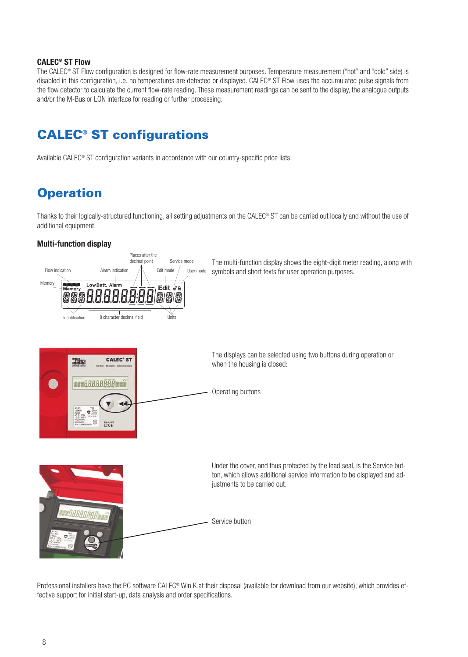#### **CALEC® ST Flow**

The CALEC® ST Flow configuration is designed for flow-rate measurement purposes. Temperature measurement ("hot" and "cold" side) is disabled in this configuration, i.e. no temperatures are detected or displayed. CALEC® ST Flow uses the accumulated pulse signals from the flow detector to calculate the current flow-rate reading. These measurement readings can be sent to the display, the analogue outputs and/or the M-Bus or LON interface for reading or further processing.

## **CALEC® ST configurations**

Available CALEC® ST configuration variants in accordance with our country-specific price lists.

# **Operation**

Thanks to their logically-structured functioning, all setting adjustments on the CALEC® ST can be carried out locally and without the use of additional equipment.

#### **Multi-function display**



Professional installers have the PC software CALEC<sup>®</sup> Win K at their disposal (available for download from our website), which provides effective support for initial start-up, data analysis and order specifications.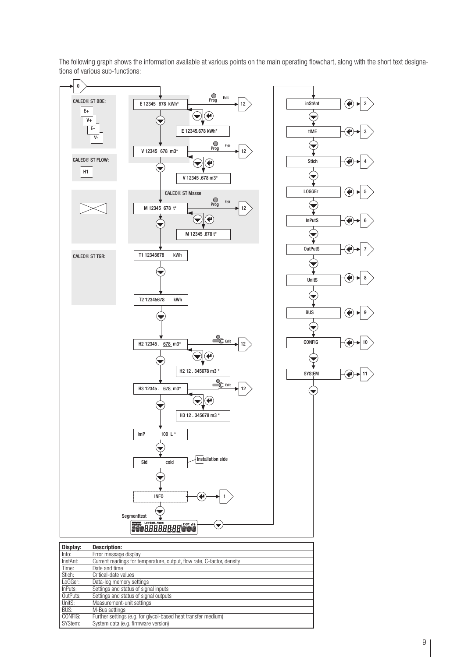The following graph shows the information available at various points on the main operating flowchart, along with the short text designations of various sub-functions:



**BUS:** M-Bus settings<br>
CONFIG: Further settings

CONFIG: Further settings (e.g. for glycol-based heat transfer medium)<br>SYStem: System data (e.g. firmware version) System data (e.g. firmware version)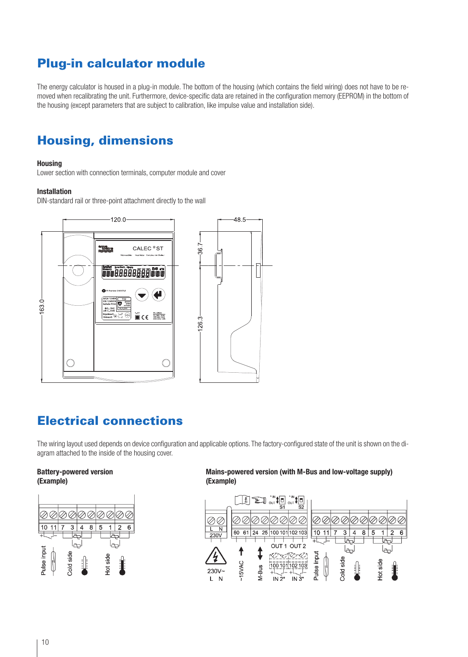# **Plug-in calculator module**

The energy calculator is housed in a plug-in module. The bottom of the housing (which contains the field wiring) does not have to be removed when recalibrating the unit. Furthermore, device-specific data are retained in the configuration memory (EEPROM) in the bottom of the housing (except parameters that are subject to calibration, like impulse value and installation side).

# **Housing, dimensions**

#### **Housing**

Lower section with connection terminals, computer module and cover

#### **Installation**

DIN-standard rail or three-point attachment directly to the wall



### **Electrical connections**

The wiring layout used depends on device configuration and applicable options. The factory-configured state of the unit is shown on the diagram attached to the inside of the housing cover.

# **(Example) (Example)**



**Battery-powered version Mains-powered version (with M-Bus and low-voltage supply)**

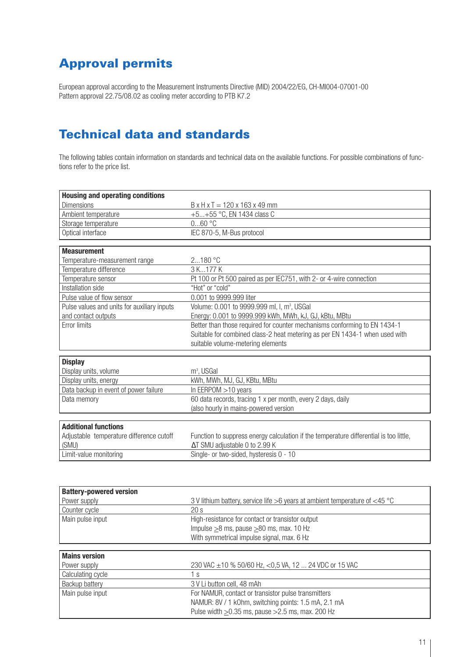# **Approval permits**

European approval according to the Measurement Instruments Directive (MID) 2004/22/EG, CH-MI004-07001-00 Pattern approval 22.75/08.02 as cooling meter according to PTB K7.2

### **Technical data and standards**

The following tables contain information on standards and technical data on the available functions. For possible combinations of functions refer to the price list.

| <b>Housing and operating conditions</b>     |                                                                                        |
|---------------------------------------------|----------------------------------------------------------------------------------------|
| <b>Dimensions</b>                           | $B \times H \times T = 120 \times 163 \times 49$ mm                                    |
| Ambient temperature                         | +5+55 °C, EN 1434 class C                                                              |
| Storage temperature                         | $060$ °C                                                                               |
| Optical interface                           | IEC 870-5, M-Bus protocol                                                              |
|                                             |                                                                                        |
| <b>Measurement</b>                          |                                                                                        |
| Temperature-measurement range               | 2180 °C                                                                                |
| Temperature difference                      | 3 K177 K                                                                               |
| Temperature sensor                          | Pt 100 or Pt 500 paired as per IEC751, with 2- or 4-wire connection                    |
| Installation side                           | "Hot" or "cold"                                                                        |
| Pulse value of flow sensor                  | 0.001 to 9999.999 liter                                                                |
| Pulse values and units for auxiliary inputs | Volume: 0.001 to 9999.999 ml, I, m <sup>3</sup> , USGal                                |
| and contact outputs                         | Energy: 0.001 to 9999.999 kWh, MWh, kJ, GJ, kBtu, MBtu                                 |
| Error limits                                | Better than those required for counter mechanisms conforming to EN 1434-1              |
|                                             | Suitable for combined class-2 heat metering as per EN 1434-1 when used with            |
|                                             | suitable volume-metering elements                                                      |
|                                             |                                                                                        |
| <b>Display</b>                              |                                                                                        |
| Display units, volume                       | m <sup>3</sup> , USGal                                                                 |
| Display units, energy                       | kWh, MWh, MJ, GJ, KBtu, MBtu                                                           |
| Data backup in event of power failure       | In EERPOM > 10 years                                                                   |
| Data memory                                 | 60 data records, tracing 1 x per month, every 2 days, daily                            |
|                                             | (also hourly in mains-powered version                                                  |
|                                             |                                                                                        |
| <b>Additional functions</b>                 |                                                                                        |
| Adjustable temperature difference cutoff    | Function to suppress energy calculation if the temperature differential is too little, |
| (SMU)                                       | ∆T SMU adjustable 0 to 2.99 K                                                          |
| Limit-value monitoring                      | Single- or two-sided, hysteresis 0 - 10                                                |
|                                             |                                                                                        |
|                                             |                                                                                        |
| <b>Battery-powered version</b>              |                                                                                        |
| Power supply                                | 3 V lithium battery, service life >6 years at ambient temperature of $<$ 45 °C         |
| Counter cycle                               | 20s                                                                                    |
| Main pulse input                            | High-resistance for contact or transistor output                                       |
|                                             | Impulse $\geq$ 8 ms, pause $\geq$ 80 ms, max. 10 Hz                                    |

| <b>Mains version</b>  |                                                            |
|-----------------------|------------------------------------------------------------|
| Power supply          | 230 VAC $\pm$ 10 % 50/60 Hz, <0,5 VA, 12  24 VDC or 15 VAC |
| Calculating cycle     | ΙS                                                         |
| <b>Backup battery</b> | 3 V Li button cell, 48 mAh                                 |
| Main pulse input      | For NAMUR, contact or transistor pulse transmitters        |
|                       | NAMUR: 8V / 1 k0hm, switching points: 1.5 mA, 2.1 mA       |
|                       | Pulse width $\geq$ 0.35 ms, pause $>$ 2.5 ms, max. 200 Hz  |

With symmetrical impulse signal, max. 6 Hz